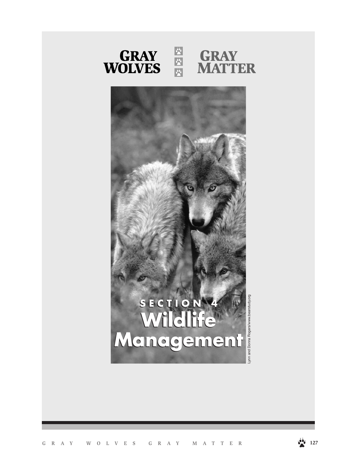

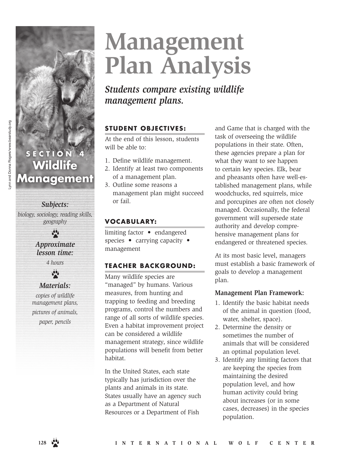## **Management Plan Analysis**

*Students compare existing wildlife management plans.*

#### **STUDENT OBJECTIVES:**

At the end of this lesson, students will be able to:

- 1. Define wildlife management.
- 2. Identify at least two components of a management plan.
- 3. Outline some reasons a management plan might succeed or fail.

#### **VOCABULARY:**

limiting factor • endangered species • carrying capacity • management

#### **TEACHER BACKGROUND:**

Many wildlife species are "managed" by humans. Various measures, from hunting and trapping to feeding and breeding programs, control the numbers and range of all sorts of wildlife species. Even a habitat improvement project can be considered a wildlife management strategy, since wildlife populations will benefit from better habitat.

In the United States, each state typically has jurisdiction over the plants and animals in its state. States usually have an agency such as a Department of Natural Resources or a Department of Fish

and Game that is charged with the task of overseeing the wildlife populations in their state. Often, these agencies prepare a plan for what they want to see happen to certain key species. Elk, bear and pheasants often have well-established management plans, while woodchucks, red squirrels, mice and porcupines are often not closely managed. Occasionally, the federal government will supersede state authority and develop comprehensive management plans for endangered or threatened species.

At its most basic level, managers must establish a basic framework of goals to develop a management plan.

#### **Management Plan Framework:**

- 1. Identify the basic habitat needs of the animal in question (food, water, shelter, space).
- 2. Determine the density or sometimes the number of animals that will be considered an optimal population level.
- 3. Identify any limiting factors that are keeping the species from maintaining the desired population level, and how human activity could bring about increases (or in some cases, decreases) in the species population.

## **SECTION Wildlife Management**

#### *Subjects:*

*biology, sociology, reading skills, geography*

 $\mathbf{e}^{\mathbf{e}}$ 

## *Approximate lesson time:*

*4 hours*



#### *Materials:*

*copies of wildlife management plans, pictures of animals, paper, pencils*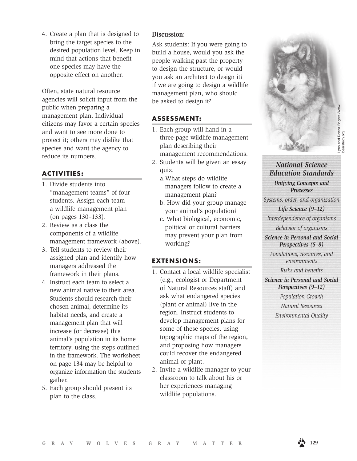4. Create a plan that is designed to bring the target species to the desired population level. Keep in mind that actions that benefit one species may have the opposite effect on another.

Often, state natural resource agencies will solicit input from the public when preparing a management plan. Individual citizens may favor a certain species and want to see more done to protect it; others may dislike that species and want the agency to reduce its numbers.

#### **ACTIVITIES:**

- 1. Divide students into "management teams" of four students. Assign each team a wildlife management plan (on pages 130–133).
- 2. Review as a class the components of a wildlife management framework (above).
- 3. Tell students to review their assigned plan and identify how managers addressed the framework in their plans.
- 4. Instruct each team to select a new animal native to their area. Students should research their chosen animal, determine its habitat needs, and create a management plan that will increase (or decrease) this animal's population in its home territory, using the steps outlined in the framework. The worksheet on page 134 may be helpful to organize information the students gather.
- 5. Each group should present its plan to the class.

#### **Discussion:**

Ask students: If you were going to build a house, would you ask the people walking past the property to design the structure, or would you ask an architect to design it? If we are going to design a wildlife management plan, who should be asked to design it?

#### **ASSESSMENT:**

- 1. Each group will hand in a three-page wildlife management plan describing their management recommendations.
- 2. Students will be given an essay quiz.
	- a.What steps do wildlife managers follow to create a management plan?
	- b. How did your group manage your animal's population?
	- c. What biological, economic, political or cultural barriers may prevent your plan from working?

#### **EXTENSIONS:**

- 1. Contact a local wildlife specialist (e.g., ecologist or Department of Natural Resources staff) and ask what endangered species (plant or animal) live in the region. Instruct students to develop management plans for some of these species, using topographic maps of the region, and proposing how managers could recover the endangered animal or plant.
- 2. Invite a wildlife manager to your classroom to talk about his or her experiences managing wildlife populations.

#### *National Science Education Standards*

*Unifying Concepts and Processes*

*Systems, order, and organization*

*Life Science (9–12)*

*Interdependence of organisms Behavior of organisms*

*Science in Personal and Social Perspectives (5–8)*

*Populations, resources, and environments*

*Risks and benefits*

*Science in Personal and Social Perspectives (9–12) Population Growth*

*Natural Resources*

*Environmental Quality*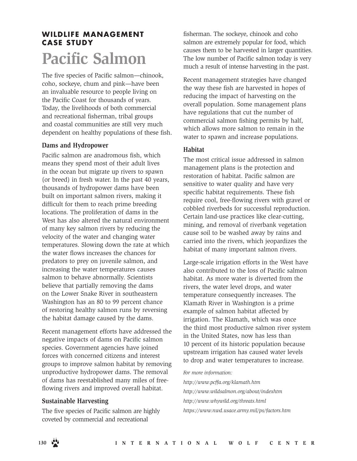## **WILDLIFE MANAGEMENT CASE STUDY Pacific Salmon**

The five species of Pacific salmon—chinook, coho, sockeye, chum and pink—have been an invaluable resource to people living on the Pacific Coast for thousands of years. Today, the livelihoods of both commercial and recreational fisherman, tribal groups and coastal communities are still very much dependent on healthy populations of these fish.

#### **Dams and Hydropower**

Pacific salmon are anadromous fish, which means they spend most of their adult lives in the ocean but migrate up rivers to spawn (or breed) in fresh water. In the past 40 years, thousands of hydropower dams have been built on important salmon rivers, making it difficult for them to reach prime breeding locations. The proliferation of dams in the West has also altered the natural environment of many key salmon rivers by reducing the velocity of the water and changing water temperatures. Slowing down the rate at which the water flows increases the chances for predators to prey on juvenile salmon, and increasing the water temperatures causes salmon to behave abnormally. Scientists believe that partially removing the dams on the Lower Snake River in southeastern Washington has an 80 to 99 percent chance of restoring healthy salmon runs by reversing the habitat damage caused by the dams.

Recent management efforts have addressed the negative impacts of dams on Pacific salmon species. Government agencies have joined forces with concerned citizens and interest groups to improve salmon habitat by removing unproductive hydropower dams. The removal of dams has reestablished many miles of freeflowing rivers and improved overall habitat.

#### **Sustainable Harvesting**

The five species of Pacific salmon are highly coveted by commercial and recreational

fisherman. The sockeye, chinook and coho salmon are extremely popular for food, which causes them to be harvested in larger quantities. The low number of Pacific salmon today is very much a result of intense harvesting in the past.

Recent management strategies have changed the way these fish are harvested in hopes of reducing the impact of harvesting on the overall population. Some management plans have regulations that cut the number of commercial salmon fishing permits by half, which allows more salmon to remain in the water to spawn and increase populations.

#### **Habitat**

The most critical issue addressed in salmon management plans is the protection and restoration of habitat. Pacific salmon are sensitive to water quality and have very specific habitat requirements. These fish require cool, free-flowing rivers with gravel or cobbled riverbeds for successful reproduction. Certain land-use practices like clear-cutting, mining, and removal of riverbank vegetation cause soil to be washed away by rains and carried into the rivers, which jeopardizes the habitat of many important salmon rivers.

Large-scale irrigation efforts in the West have also contributed to the loss of Pacific salmon habitat. As more water is diverted from the rivers, the water level drops, and water temperature consequently increases. The Klamath River in Washington is a prime example of salmon habitat affected by irrigation. The Klamath, which was once the third most productive salmon river system in the United States, now has less than 10 percent of its historic population because upstream irrigation has caused water levels to drop and water temperatures to increase.

#### *For more information:*

*http://www.pcffa.org/klamath.htm http://www.wildsalmon.org/about/indexhtm http://www.whywild.org/threats.html https://www.nwd.usace.army.mil/ps/factors.htm*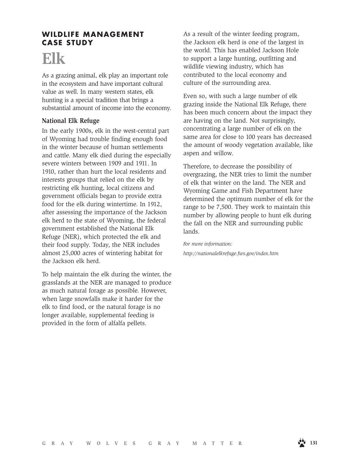#### **WILDLIFE MANAGEMENT CASE STUDY**

## **Elk**

As a grazing animal, elk play an important role in the ecosystem and have important cultural value as well. In many western states, elk hunting is a special tradition that brings a substantial amount of income into the economy.

#### **National Elk Refuge**

In the early 1900s, elk in the west-central part of Wyoming had trouble finding enough food in the winter because of human settlements and cattle. Many elk died during the especially severe winters between 1909 and 1911. In 1910, rather than hurt the local residents and interests groups that relied on the elk by restricting elk hunting, local citizens and government officials began to provide extra food for the elk during wintertime. In 1912, after assessing the importance of the Jackson elk herd to the state of Wyoming, the federal government established the National Elk Refuge (NER), which protected the elk and their food supply. Today, the NER includes almost 25,000 acres of wintering habitat for the Jackson elk herd.

To help maintain the elk during the winter, the grasslands at the NER are managed to produce as much natural forage as possible. However, when large snowfalls make it harder for the elk to find food, or the natural forage is no longer available, supplemental feeding is provided in the form of alfalfa pellets.

As a result of the winter feeding program, the Jackson elk herd is one of the largest in the world. This has enabled Jackson Hole to support a large hunting, outfitting and wildlife viewing industry, which has contributed to the local economy and culture of the surrounding area.

Even so, with such a large number of elk grazing inside the National Elk Refuge, there has been much concern about the impact they are having on the land. Not surprisingly, concentrating a large number of elk on the same area for close to 100 years has decreased the amount of woody vegetation available, like aspen and willow.

Therefore, to decrease the possibility of overgrazing, the NER tries to limit the number of elk that winter on the land. The NER and Wyoming Game and Fish Department have determined the optimum number of elk for the range to be 7,500. They work to maintain this number by allowing people to hunt elk during the fall on the NER and surrounding public lands.

*For more information:*

*http://nationalelkrefuge.fws.gov/index.htm*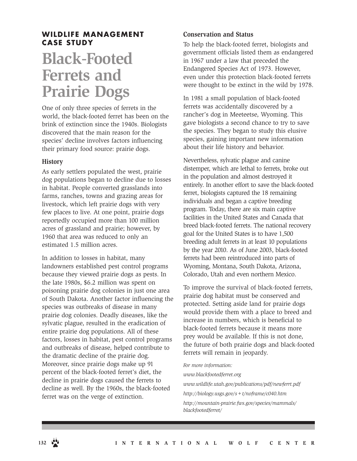#### **WILDLIFE MANAGEMENT CASE STUDY**

## **Black-Footed Ferrets and Prairie Dogs**

One of only three species of ferrets in the world, the black-footed ferret has been on the brink of extinction since the 1940s. Biologists discovered that the main reason for the species' decline involves factors influencing their primary food source: prairie dogs.

#### **History**

As early settlers populated the west, prairie dog populations began to decline due to losses in habitat. People converted grasslands into farms, ranches, towns and grazing areas for livestock, which left prairie dogs with very few places to live. At one point, prairie dogs reportedly occupied more than 100 million acres of grassland and prairie; however, by 1960 that area was reduced to only an estimated 1.5 million acres.

In addition to losses in habitat, many landowners established pest control programs because they viewed prairie dogs as pests. In the late 1980s, \$6.2 million was spent on poisoning prairie dog colonies in just one area of South Dakota. Another factor influencing the species was outbreaks of disease in many prairie dog colonies. Deadly diseases, like the sylvatic plague, resulted in the eradication of entire prairie dog populations. All of these factors, losses in habitat, pest control programs and outbreaks of disease, helped contribute to the dramatic decline of the prairie dog. Moreover, since prairie dogs make up 91 percent of the black-footed ferret's diet, the decline in prairie dogs caused the ferrets to decline as well. By the 1960s, the black-footed ferret was on the verge of extinction.

#### **Conservation and Status**

To help the black-footed ferret, biologists and government officials listed them as endangered in 1967 under a law that preceded the Endangered Species Act of 1973. However, even under this protection black-footed ferrets were thought to be extinct in the wild by 1978.

In 1981 a small population of black-footed ferrets was accidentally discovered by a rancher's dog in Meeteetse, Wyoming. This gave biologists a second chance to try to save the species. They began to study this elusive species, gaining important new information about their life history and behavior.

Nevertheless, sylvatic plague and canine distemper, which are lethal to ferrets, broke out in the population and almost destroyed it entirely. In another effort to save the black-footed ferret, biologists captured the 18 remaining individuals and began a captive breeding program. Today, there are six main captive facilities in the United States and Canada that breed black-footed ferrets. The national recovery goal for the United States is to have 1,500 breeding adult ferrets in at least 10 populations by the year 2010. As of June 2003, black-footed ferrets had been reintroduced into parts of Wyoming, Montana, South Dakota, Arizona, Colorado, Utah and even northern Mexico.

To improve the survival of black-footed ferrets, prairie dog habitat must be conserved and protected. Setting aside land for prairie dogs would provide them with a place to breed and increase in numbers, which is beneficial to black-footed ferrets because it means more prey would be available. If this is not done, the future of both prairie dogs and black-footed ferrets will remain in jeopardy.

#### *For more information:*

*www.blackfootedferret.org*

*www.wildlife.utah.gov/publications/pdf/newferrt.pdf*

*http://biology.usgs.gov/s+t/noframe/c040.htm http://mountain-prairie.fws.gov/species/mammals/ blackfootedferret/*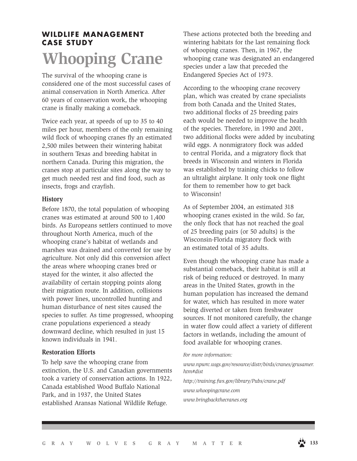## **WILDLIFE MANAGEMENT CASE STUDY Whooping Crane**

The survival of the whooping crane is considered one of the most successful cases of animal conservation in North America. After 60 years of conservation work, the whooping crane is finally making a comeback.

Twice each year, at speeds of up to 35 to 40 miles per hour, members of the only remaining wild flock of whooping cranes fly an estimated 2,500 miles between their wintering habitat in southern Texas and breeding habitat in northern Canada. During this migration, the cranes stop at particular sites along the way to get much needed rest and find food, such as insects, frogs and crayfish.

#### **History**

Before 1870, the total population of whooping cranes was estimated at around 500 to 1,400 birds. As Europeans settlers continued to move throughout North America, much of the whooping crane's habitat of wetlands and marshes was drained and converted for use by agriculture. Not only did this conversion affect the areas where whooping cranes bred or stayed for the winter, it also affected the availability of certain stopping points along their migration route. In addition, collisions with power lines, uncontrolled hunting and human disturbance of nest sites caused the species to suffer. As time progressed, whooping crane populations experienced a steady downward decline, which resulted in just 15 known individuals in 1941.

#### **Restoration Efforts**

To help save the whooping crane from extinction, the U.S. and Canadian governments took a variety of conservation actions. In 1922, Canada established Wood Buffalo National Park, and in 1937, the United States established Aransas National Wildlife Refuge.

These actions protected both the breeding and wintering habitats for the last remaining flock of whooping cranes. Then, in 1967, the whooping crane was designated an endangered species under a law that preceded the Endangered Species Act of 1973.

According to the whooping crane recovery plan, which was created by crane specialists from both Canada and the United States, two additional flocks of 25 breeding pairs each would be needed to improve the health of the species. Therefore, in 1990 and 2001, two additional flocks were added by incubating wild eggs. A nonmigratory flock was added to central Florida, and a migratory flock that breeds in Wisconsin and winters in Florida was established by training chicks to follow an ultralight airplane. It only took one flight for them to remember how to get back to Wisconsin!

As of September 2004, an estimated 318 whooping cranes existed in the wild. So far, the only flock that has not reached the goal of 25 breeding pairs (or 50 adults) is the Wisconsin-Florida migratory flock with an estimated total of 35 adults.

Even though the whooping crane has made a substantial comeback, their habitat is still at risk of being reduced or destroyed. In many areas in the United States, growth in the human population has increased the demand for water, which has resulted in more water being diverted or taken from freshwater sources. If not monitored carefully, the change in water flow could affect a variety of different factors in wetlands, including the amount of food available for whooping cranes.

*For more information:*

*www.npwrc.usgs.gov/resource/distr/birds/cranes/grusamer. htm#dist*

*http://training.fws.gov/library/Pubs/crane.pdf www.whoopingcrane.com www.bringbackthecranes.org*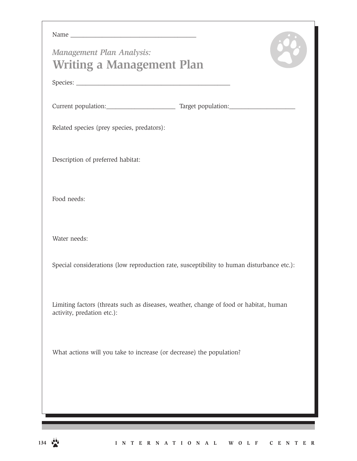| <b>Management Plan Analysis:</b><br><b>Writing a Management Plan</b>                                                |  |
|---------------------------------------------------------------------------------------------------------------------|--|
|                                                                                                                     |  |
|                                                                                                                     |  |
| Related species (prey species, predators):                                                                          |  |
| Description of preferred habitat:                                                                                   |  |
| Food needs:                                                                                                         |  |
|                                                                                                                     |  |
| Water needs:                                                                                                        |  |
| Special considerations (low reproduction rate, susceptibility to human disturbance etc.):                           |  |
| Limiting factors (threats such as diseases, weather, change of food or habitat, human<br>activity, predation etc.): |  |
| What actions will you take to increase (or decrease) the population?                                                |  |
|                                                                                                                     |  |
|                                                                                                                     |  |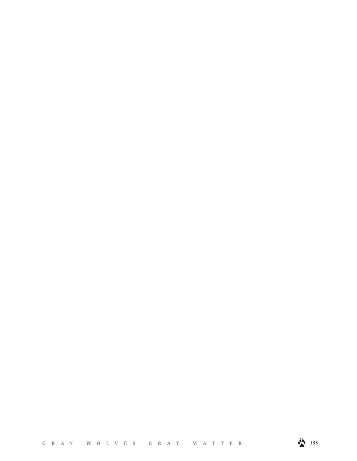#### **GRAY WOLVES GRAY MATTER 135**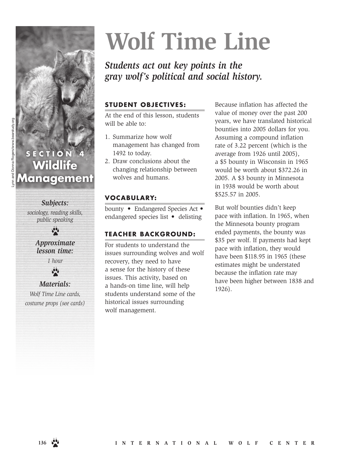# **SECTION Wildlife Management**

#### *Subjects:*

*sociology, reading skills, public speaking*

 $\frac{1}{2}$ 

### *Approximate lesson time:*

*1 hour*

### $\frac{\partial \dot{\theta}}{\partial \dot{\theta}}$

*Materials: Wolf Time Line cards, costume props (see cards)*

## **Wolf Time Line**

*Students act out key points in the gray wolf's political and social history.*

#### **STUDENT OBJECTIVES:**

At the end of this lesson, students will be able to:

- 1. Summarize how wolf management has changed from 1492 to today.
- 2. Draw conclusions about the changing relationship between wolves and humans.

#### **VOCABULARY:**

bounty • Endangered Species Act • endangered species list • delisting

#### **TEACHER BACKGROUND:**

For students to understand the issues surrounding wolves and wolf recovery, they need to have a sense for the history of these issues. This activity, based on a hands-on time line, will help students understand some of the historical issues surrounding wolf management.

Because inflation has affected the value of money over the past 200 years, we have translated historical bounties into 2005 dollars for you. Assuming a compound inflation rate of 3.22 percent (which is the average from 1926 until 2005), a \$5 bounty in Wisconsin in 1965 would be worth about \$372.26 in 2005. A \$3 bounty in Minnesota in 1938 would be worth about \$525.57 in 2005.

But wolf bounties didn't keep pace with inflation. In 1965, when the Minnesota bounty program ended payments, the bounty was \$35 per wolf. If payments had kept pace with inflation, they would have been \$118.95 in 1965 (these estimates might be understated because the inflation rate may have been higher between 1838 and 1926).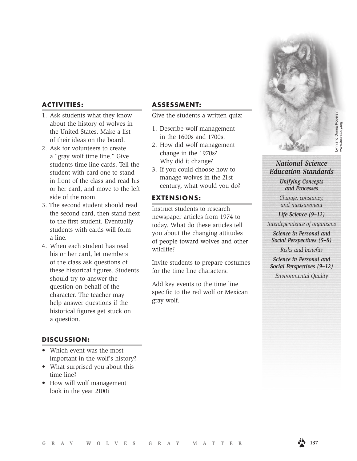#### **ACTIVITIES:**

- 1. Ask students what they know about the history of wolves in the United States. Make a list of their ideas on the board.
- 2. Ask for volunteers to create a "gray wolf time line." Give students time line cards. Tell the student with card one to stand in front of the class and read his or her card, and move to the left side of the room.
- 3. The second student should read the second card, then stand next to the first student. Eventually students with cards will form a line.
- 4. When each student has read his or her card, let members of the class ask questions of these historical figures. Students should try to answer the question on behalf of the character. The teacher may help answer questions if the historical figures get stuck on a question.

#### **DISCUSSION:**

- Which event was the most important in the wolf's history?
- What surprised you about this time line?
- How will wolf management look in the year 2100?

#### **ASSESSMENT:**

Give the students a written quiz:

- 1. Describe wolf management in the 1600s and 1700s.
- 2. How did wolf management change in the 1970s? Why did it change?
- 3. If you could choose how to manage wolves in the 21st century, what would you do?

#### **EXTENSIONS:**

Instruct students to research newspaper articles from 1974 to today. What do these articles tell you about the changing attitudes of people toward wolves and other wildlife?

Invite students to prepare costumes for the time line characters.

Add key events to the time line specific to the red wolf or Mexican gray wolf.



## Lynn and Donna Rogers / -ynn and Donna Roger<br>www.bearstudv.org www.bearstudy.org

#### *National Science Education Standards*

*Unifying Concepts and Processes*

*Change, constancy, and measurement*

#### *Life Science (9–12)*

*Interdependence of organisms*

*Science in Personal and Social Perspectives (5–8)*

*Risks and benefits*

*Science in Personal and Social Perspectives (9–12)*

*Environmental Quality*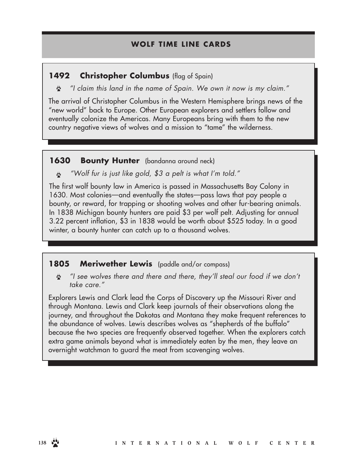#### **1492 Christopher Columbus** (flag of Spain)

*"I claim this land in the name of Spain. We own it now is my claim."*  $\mathbf{e}^{\mathbf{e}}$ 

The arrival of Christopher Columbus in the Western Hemisphere brings news of the "new world" back to Europe. Other European explorers and settlers follow and eventually colonize the Americas. Many Europeans bring with them to the new country negative views of wolves and a mission to "tame" the wilderness.

#### 1630 **Bounty Hunter** (bandanna around neck)

#### *"Wolf fur is just like gold, \$3 a pelt is what I'm told."*  $\hat{\mathbf{e}}^{\hat{\mathbf{e}}}_{\hat{\mathbf{e}}}$

The first wolf bounty law in America is passed in Massachusetts Bay Colony in 1630. Most colonies—and eventually the states—pass laws that pay people a bounty, or reward, for trapping or shooting wolves and other fur-bearing animals. In 1838 Michigan bounty hunters are paid \$3 per wolf pelt. Adjusting for annual 3.22 percent inflation, \$3 in 1838 would be worth about \$525 today. In a good winter, a bounty hunter can catch up to a thousand wolves.

#### **1805 Meriwether Lewis** (paddle and/or compass)

 $\mathbf{e}^{\mathbf{e}}_{\mathbf{a}}$ *"I see wolves there and there and there, they'll steal our food if we don't take care."*

Explorers Lewis and Clark lead the Corps of Discovery up the Missouri River and through Montana. Lewis and Clark keep journals of their observations along the journey, and throughout the Dakotas and Montana they make frequent references to the abundance of wolves. Lewis describes wolves as "shepherds of the buffalo" because the two species are frequently observed together. When the explorers catch extra game animals beyond what is immediately eaten by the men, they leave an overnight watchman to guard the meat from scavenging wolves.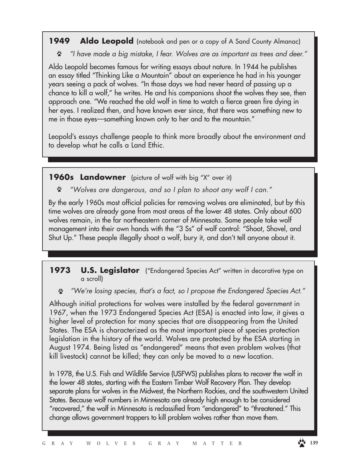**1949 Aldo Leopold** (notebook and pen or a copy of A Sand County Almanac)

*"I have made a big mistake, I fear. Wolves are as important as trees and deer."*  $\mathbf{r}$ 

Aldo Leopold becomes famous for writing essays about nature. In 1944 he publishes an essay titled "Thinking Like a Mountain" about an experience he had in his younger years seeing a pack of wolves. "In those days we had never heard of passing up a chance to kill a wolf," he writes. He and his companions shoot the wolves they see, then approach one. "We reached the old wolf in time to watch a fierce green fire dying in her eyes. I realized then, and have known ever since, that there was something new to me in those eyes—something known only to her and to the mountain."

Leopold's essays challenge people to think more broadly about the environment and to develop what he calls a Land Ethic.

**1960s Landowner** (picture of wolf with big "X" over it)

*"Wolves are dangerous, and so I plan to shoot any wolf I can."* 

By the early 1960s most official policies for removing wolves are eliminated, but by this time wolves are already gone from most areas of the lower 48 states. Only about 600 wolves remain, in the far northeastern corner of Minnesota. Some people take wolf management into their own hands with the "3 Ss" of wolf control: "Shoot, Shovel, and Shut Up." These people illegally shoot a wolf, bury it, and don't tell anyone about it.

#### **1973 U.S. Legislator** ("Endangered Species Act" written in decorative type on a scroll)

 $\mathbf{e}^{\mathbf{e}}$ *"We're losing species, that's a fact, so I propose the Endangered Species Act."*

Although initial protections for wolves were installed by the federal government in 1967, when the 1973 Endangered Species Act (ESA) is enacted into law, it gives a higher level of protection for many species that are disappearing from the United States. The ESA is characterized as the most important piece of species protection legislation in the history of the world. Wolves are protected by the ESA starting in August 1974. Being listed as "endangered" means that even problem wolves (that kill livestock) cannot be killed; they can only be moved to a new location.

In 1978, the U.S. Fish and Wildlife Service (USFWS) publishes plans to recover the wolf in the lower 48 states, starting with the Eastern Timber Wolf Recovery Plan. They develop separate plans for wolves in the Midwest, the Northern Rockies, and the southwestern United States. Because wolf numbers in Minnesota are already high enough to be considered "recovered," the wolf in Minnesota is reclassified from "endangered" to "threatened." This change allows government trappers to kill problem wolves rather than move them.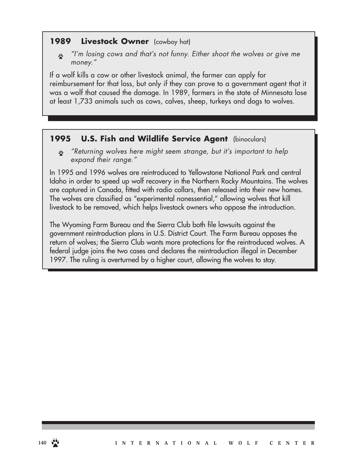#### **1989 Livestock Owner** (cowboy hat)

*"I'm losing cows and that's not funny. Either shoot the wolves or give me*   $\mathbf{e}^{\mathbf{a}}$ *money."*

If a wolf kills a cow or other livestock animal, the farmer can apply for reimbursement for that loss, but only if they can prove to a government agent that it was a wolf that caused the damage. In 1989, farmers in the state of Minnesota lose at least 1,733 animals such as cows, calves, sheep, turkeys and dogs to wolves.

#### **1995 U.S. Fish and Wildlife Service Agent** (binoculars)

*"Returning wolves here might seem strange, but it's important to help*   $\mathbf{e}^{\mathbf{e}}_{\mathbf{a}}$ *expand their range."*

In 1995 and 1996 wolves are reintroduced to Yellowstone National Park and central Idaho in order to speed up wolf recovery in the Northern Rocky Mountains. The wolves are captured in Canada, fitted with radio collars, then released into their new homes. The wolves are classified as "experimental nonessential," allowing wolves that kill livestock to be removed, which helps livestock owners who oppose the introduction.

The Wyoming Farm Bureau and the Sierra Club both file lawsuits against the government reintroduction plans in U.S. District Court. The Farm Bureau opposes the return of wolves; the Sierra Club wants more protections for the reintroduced wolves. A federal judge joins the two cases and declares the reintroduction illegal in December 1997. The ruling is overturned by a higher court, allowing the wolves to stay.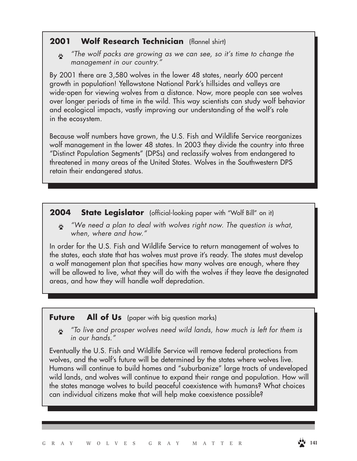#### **2001 Wolf Research Technician** (flannel shirt)

*"The wolf packs are growing as we can see, so it's time to change the*   $\mathbf{e}^{\mathbf{a}}$ *management in our country."*

By 2001 there are 3,580 wolves in the lower 48 states, nearly 600 percent growth in population! Yellowstone National Park's hillsides and valleys are wide-open for viewing wolves from a distance. Now, more people can see wolves over longer periods of time in the wild. This way scientists can study wolf behavior and ecological impacts, vastly improving our understanding of the wolf's role in the ecosystem.

Because wolf numbers have grown, the U.S. Fish and Wildlife Service reorganizes wolf management in the lower 48 states. In 2003 they divide the country into three "Distinct Population Segments" (DPSs) and reclassify wolves from endangered to threatened in many areas of the United States. Wolves in the Southwestern DPS retain their endangered status.

**2004** State Legislator (official-looking paper with "Wolf Bill" on it)

*"We need a plan to deal with wolves right now. The question is what,*   $\mathbf{e}^{\mathbf{a}\mathbf{b}}_{\mathbf{a}\mathbf{c}}$ *when, where and how."*

In order for the U.S. Fish and Wildlife Service to return management of wolves to the states, each state that has wolves must prove it's ready. The states must develop a wolf management plan that specifies how many wolves are enough, where they will be allowed to live, what they will do with the wolves if they leave the designated areas, and how they will handle wolf depredation.

#### **Future All of Us** (paper with big question marks)

*"To live and prosper wolves need wild lands, how much is left for them is*   $\frac{\partial \tilde{\Phi}_{\tilde{\theta}}}{\partial \tilde{\theta}}$ *in our hands."*

Eventually the U.S. Fish and Wildlife Service will remove federal protections from wolves, and the wolf's future will be determined by the states where wolves live. Humans will continue to build homes and "suburbanize" large tracts of undeveloped wild lands, and wolves will continue to expand their range and population. How will the states manage wolves to build peaceful coexistence with humans? What choices can individual citizens make that will help make coexistence possible?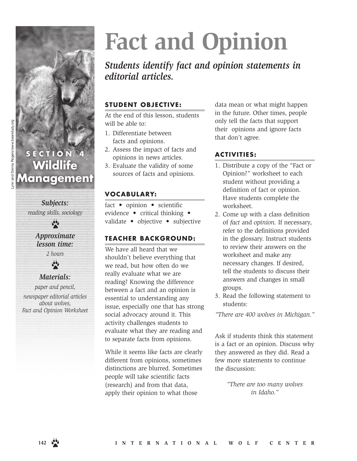## **Fact and Opinion**

*Students identify fact and opinion statements in editorial articles.*

#### **STUDENT OBJECTIVE:**

At the end of this lesson, students will be able to:

- 1. Differentiate between facts and opinions.
- 2. Assess the impact of facts and opinions in news articles.
- 3. Evaluate the validity of some sources of facts and opinions.

#### **VOCABULARY:**

fact • opinion • scientific evidence • critical thinking • validate • objective • subjective

#### **TEACHER BACKGROUND:**

We have all heard that we shouldn't believe everything that we read, but how often do we really evaluate what we are reading? Knowing the difference between a fact and an opinion is essential to understanding any issue, especially one that has strong social advocacy around it. This activity challenges students to evaluate what they are reading and to separate facts from opinions.

While it seems like facts are clearly different from opinions, sometimes distinctions are blurred. Sometimes people will take scientific facts (research) and from that data, apply their opinion to what those

data mean or what might happen in the future. Other times, people only tell the facts that support their opinions and ignore facts that don't agree.

#### **ACTIVITIES:**

- 1. Distribute a copy of the "Fact or Opinion?" worksheet to each student without providing a definition of fact or opinion. Have students complete the worksheet.
- 2. Come up with a class definition of *fact* and *opinion.* If necessary, refer to the definitions provided in the glossary. Instruct students to review their answers on the worksheet and make any necessary changes. If desired, tell the students to discuss their answers and changes in small groups.
- 3. Read the following statement to students:

*"There are 400 wolves in Michigan."*

Ask if students think this statement is a fact or an opinion. Discuss why they answered as they did. Read a few more statements to continue the discussion:

> *"There are too many wolves in Idaho."*

## **SECTION Wildlife Management**

*Subjects:* 

*reading skills, sociology*

## *Approximate lesson time:*

*2 hours*  $\mathbf{e}^{\mathbf{e}}$ 

## *Materials:*

*paper and pencil, newspaper editorial articles about wolves, Fact and Opinion Worksheet*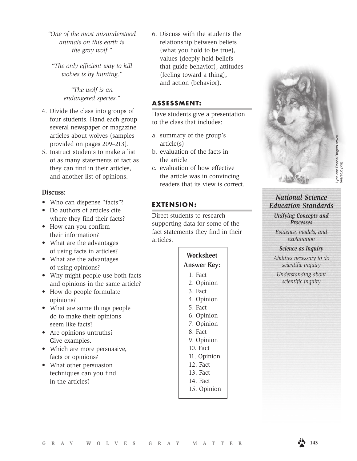*"One of the most misunderstood animals on this earth is the gray wolf."*

*"The only efficient way to kill wolves is by hunting."* 

> *"The wolf is an endangered species."*

- 4. Divide the class into groups of four students. Hand each group several newspaper or magazine articles about wolves (samples provided on pages 209–213).
- 5. Instruct students to make a list of as many statements of fact as they can find in their articles, and another list of opinions.

#### **Discuss:**

- Who can dispense "facts"?
- Do authors of articles cite where they find their facts?
- How can you confirm their information?
- What are the advantages of using facts in articles?
- What are the advantages of using opinions?
- Why might people use both facts and opinions in the same article?
- How do people formulate opinions?
- What are some things people do to make their opinions seem like facts?
- Are opinions untruths? Give examples.
- Which are more persuasive, facts or opinions?
- What other persuasion techniques can you find in the articles?

6. Discuss with the students the relationship between beliefs (what you hold to be true), values (deeply held beliefs that guide behavior), attitudes (feeling toward a thing), and action (behavior).

#### **ASSESSMENT:**

Have students give a presentation to the class that includes:

- a. summary of the group's article(s)
- b. evaluation of the facts in the article
- c. evaluation of how effective the article was in convincing readers that its view is correct.

#### **EXTENSION:**

Direct students to research supporting data for some of the fact statements they find in their articles.

| <b>Worksheet</b>   |  |  |  |  |
|--------------------|--|--|--|--|
| <b>Answer Key:</b> |  |  |  |  |
| 1. Fact            |  |  |  |  |
| 2. Opinion         |  |  |  |  |
| 3. Fact            |  |  |  |  |
| 4. Opinion         |  |  |  |  |
| 5. Fact            |  |  |  |  |
| 6. Opinion         |  |  |  |  |
| 7. Opinion         |  |  |  |  |
| 8. Fact            |  |  |  |  |
| 9. Opinion         |  |  |  |  |
| 10. Fact           |  |  |  |  |
| 11. Opinion        |  |  |  |  |
| 12. Fact           |  |  |  |  |
| 13. Fact           |  |  |  |  |
| 14. Fact           |  |  |  |  |
| 15. Opinion        |  |  |  |  |



#### *National Science Education Standards*

*Unifying Concepts and Processes*

*Evidence, models, and explanation*

*Science as Inquiry*

*Abilities necessary to do scientific inquiry*

*Understanding about scientific inquiry*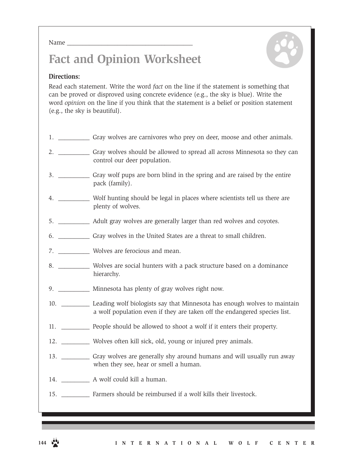$Name$ 

## **Fact and Opinion Worksheet**

#### **Directions:**

Read each statement. Write the word *fact* on the line if the statement is something that can be proved or disproved using concrete evidence (e.g., the sky is blue). Write the word *opinion* on the line if you think that the statement is a belief or position statement (e.g., the sky is beautiful).

- 1. \_\_\_\_\_\_\_\_\_\_ Gray wolves are carnivores who prey on deer, moose and other animals.
- 2. \_\_\_\_\_\_\_\_\_\_\_\_ Gray wolves should be allowed to spread all across Minnesota so they can control our deer population.
- 3. \_\_\_\_\_\_\_\_\_\_ Gray wolf pups are born blind in the spring and are raised by the entire pack (family).
- 4. \_\_\_\_\_\_\_\_\_\_\_ Wolf hunting should be legal in places where scientists tell us there are plenty of wolves.
- 5. \_\_\_\_\_\_\_\_\_\_ Adult gray wolves are generally larger than red wolves and coyotes.
- 6. \_\_\_\_\_\_\_\_\_\_ Gray wolves in the United States are a threat to small children.
- 7. \_\_\_\_\_\_\_\_\_\_ Wolves are ferocious and mean.
- 8. \_\_\_\_\_\_\_\_\_\_\_ Wolves are social hunters with a pack structure based on a dominance hierarchy.
- 9. Minnesota has plenty of gray wolves right now.
- 10. \_\_\_\_\_\_\_\_\_ Leading wolf biologists say that Minnesota has enough wolves to maintain a wolf population even if they are taken off the endangered species list.
- 11. \_\_\_\_\_\_\_\_\_ People should be allowed to shoot a wolf if it enters their property.
- 12. \_\_\_\_\_\_\_\_\_ Wolves often kill sick, old, young or injured prey animals.
- 13. \_\_\_\_\_\_\_\_\_ Gray wolves are generally shy around humans and will usually run away when they see, hear or smell a human.
- 14. \_\_\_\_\_\_\_\_\_ A wolf could kill a human.
- 15. \_\_\_\_\_\_\_\_\_ Farmers should be reimbursed if a wolf kills their livestock.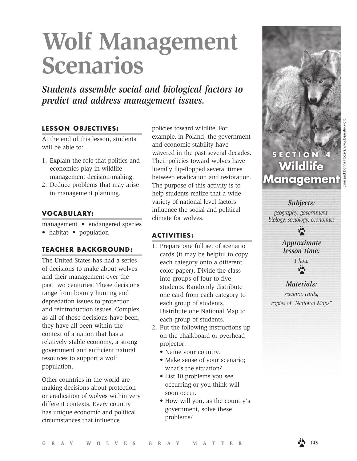## **Wolf Management Scenarios**

*Students assemble social and biological factors to predict and address management issues.*

#### **LESSON OBJECTIVES:**

At the end of this lesson, students will be able to:

- 1. Explain the role that politics and economics play in wildlife management decision-making.
- 2. Deduce problems that may arise in management planning.

#### **VOCABULARY:**

management • endangered species

• habitat • population

#### **TEACHER BACKGROUND:**

The United States has had a series of decisions to make about wolves and their management over the past two centuries. These decisions range from bounty hunting and depredation issues to protection and reintroduction issues. Complex as all of those decisions have been, they have all been within the context of a nation that has a relatively stable economy, a strong government and sufficient natural resources to support a wolf population.

Other countries in the world are making decisions about protection or eradication of wolves within very different contexts. Every country has unique economic and political circumstances that influence

policies toward wildlife. For example, in Poland, the government and economic stability have wavered in the past several decades. Their policies toward wolves have literally flip-flopped several times between eradication and restoration. The purpose of this activity is to help students realize that a wide variety of national-level factors influence the social and political climate for wolves.

#### **ACTIVITIES:**

- 1. Prepare one full set of scenario cards (it may be helpful to copy each category onto a different color paper). Divide the class into groups of four to five students. Randomly distribute one card from each category to each group of students. Distribute one National Map to each group of students.
- 2. Put the following instructions up on the chalkboard or overhead projector:
	- Name your country.
	- Make sense of your scenario; what's the situation?
	- List 10 problems you see occurring or you think will soon occur.
	- How will you, as the country's government, solve these problems?



*Subjects:* 

*geography, government, biology, sociology, economics*



*1 hour*  $\mathbf{e}^{\bullet}$ 

#### *Materials:*

*scenario cards, copies of "National Maps"*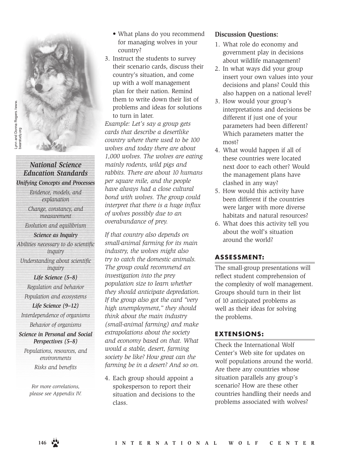

### *National Science Education Standards*

Lynn and Donna Rogers /www.

#### *Unifying Concepts and Processes*

*Evidence, models, and explanation*

*Change, constancy, and measurement*

*Evolution and equilibrium*

*Science as Inquiry*

*Abilities necessary to do scientific inquiry Understanding about scientific* 

*inquiry*

*Life Science (5–8)*

*Regulation and behavior*

*Population and ecosystems*

*Life Science (9–12)*

*Interdependence of organisms Behavior of organisms*

*Science in Personal and Social Perspectives (5–8)*

*Populations, resources, and environments Risks and benefits*

*For more correlations, please see Appendix IV.*

- What plans do you recommend for managing wolves in your country?
- 3. Instruct the students to survey their scenario cards, discuss their country's situation, and come up with a wolf management plan for their nation. Remind them to write down their list of problems and ideas for solutions to turn in later.

*Example: Let's say a group gets cards that describe a desertlike country where there used to be 100 wolves and today there are about 1,000 wolves. The wolves are eating mainly rodents, wild pigs and rabbits. There are about 10 humans per square mile, and the people have always had a close cultural bond with wolves. The group could interpret that there is a huge influx of wolves possibly due to an overabundance of prey.* 

*If that country also depends on small-animal farming for its main industry, the wolves might also try to catch the domestic animals. The group could recommend an investigation into the prey population size to learn whether they should anticipate depredation. If the group also got the card "very high unemployment," they should think about the main industry (small-animal farming) and make extrapolations about the society and economy based on that. What would a stable, desert, farming society be like? How great can the farming be in a desert? And so on.* 

4. Each group should appoint a spokesperson to report their situation and decisions to the class.

#### **Discussion Questions:**

- 1. What role do economy and government play in decisions about wildlife management?
- 2. In what ways did your group insert your own values into your decisions and plans? Could this also happen on a national level?
- 3. How would your group's interpretations and decisions be different if just one of your parameters had been different? Which parameters matter the most?
- 4. What would happen if all of these countries were located next door to each other? Would the management plans have clashed in any way?
- 5. How would this activity have been different if the countries were larger with more diverse habitats and natural resources?
- 6. What does this activity tell you about the wolf's situation around the world?

#### **ASSESSMENT:**

The small-group presentations will reflect student comprehension of the complexity of wolf management. Groups should turn in their list of 10 anticipated problems as well as their ideas for solving the problems.

#### **EXTENSIONS:**

Check the International Wolf Center's Web site for updates on wolf populations around the world. Are there any countries whose situation parallels any group's scenario? How are these other countries handling their needs and problems associated with wolves?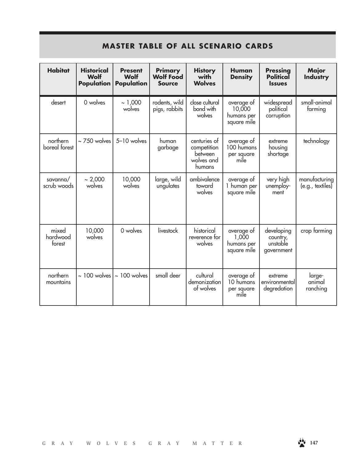#### **MASTER TABLE OF ALL SCENARIO CARDS**

| <b>Habitat</b>              | <b>Historical</b><br>Wolf<br><b>Population</b> | <b>Present</b><br>Wolf<br><b>Population</b> | <b>Primary</b><br><b>Wolf Food</b><br><b>Source</b> | <b>History</b><br>with<br><b>Wolves</b>                        | <b>Human</b><br><b>Density</b>                    | <b>Pressing</b><br><b>Political</b><br><b>Issues</b> | Major<br><b>Industry</b>          |
|-----------------------------|------------------------------------------------|---------------------------------------------|-----------------------------------------------------|----------------------------------------------------------------|---------------------------------------------------|------------------------------------------------------|-----------------------------------|
| desert                      | 0 wolves                                       | ~1,000<br>wolves                            | rodents, wild<br>pigs, rabbits                      | close cultural<br>bond with<br>wolves                          | average of<br>10,000<br>humans per<br>square mile | widespread<br>political<br>corruption                | small-animal<br>farming           |
| northern<br>boreal forest   | $\sim$ 750 wolves                              | 5-10 wolves                                 | human<br>garbage                                    | centuries of<br>competition<br>between<br>wolves and<br>humans | average of<br>100 humans<br>per square<br>mile    | extreme<br>housing<br>shortage                       | technology                        |
| savanna/<br>scrub woods     | ~2,000<br>wolves                               | 10,000<br>wolves                            | large, wild<br>ungulates                            | ambivalence<br>toward<br>wolves                                | average of<br>1 human per<br>square mile          | very high<br>unemploy-<br>ment                       | manufacturing<br>(e.g., textiles) |
| mixed<br>hardwood<br>forest | 10,000<br>wolves                               | 0 wolves                                    | livestock                                           | historical<br>reverence for<br>wolves                          | average of<br>1,000<br>humans per<br>square mile  | developing<br>country,<br>unstable<br>government     | crop farming                      |
| northern<br>mountains       | $\sim$ 100 wolves                              | $\sim$ 100 wolves                           | small deer                                          | cultural<br>demonization<br>of wolves                          | average of<br>10 humans<br>per square<br>mile     | extreme<br>environmental<br>degredation              | large-<br>animal<br>ranching      |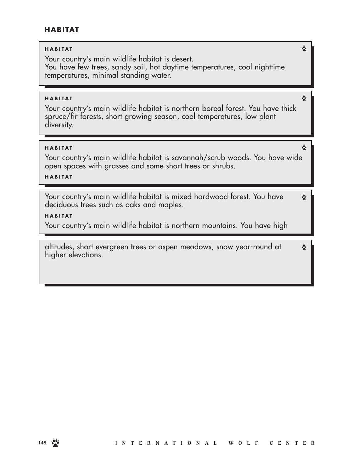#### **HABITAT**

#### **HABITAT**

Your country's main wildlife habitat is desert. You have few trees, sandy soil, hot daytime temperatures, cool nighttime temperatures, minimal standing water.

 $\mathbf{e}^{\mathbf{e}}_{\mathbf{a}}$ 

 $\mathbf{e}^{\mathbf{a}}$ 

#### **HABITAT**

Your country's main wildlife habitat is northern boreal forest. You have thick spruce/fir forests, short growing season, cool temperatures, low plant diversity.

#### **HABITAT**

Your country's main wildlife habitat is savannah/scrub woods. You have wide open spaces with grasses and some short trees or shrubs.

**HABITAT**

Your country's main wildlife habitat is mixed hardwood forest. You have  $\mathbf{e}^{\mathbf{a}\mathbf{b}}_{\mathbf{a}\mathbf{b}}$ deciduous trees such as oaks and maples.

#### **HABITAT**

Your country's main wildlife habitat is northern mountains. You have high

altitudes, short evergreen trees or aspen meadows, snow year-round at  $\mathbf{e}^{\mathbf{e}\mathbf{e}}$ higher elevations.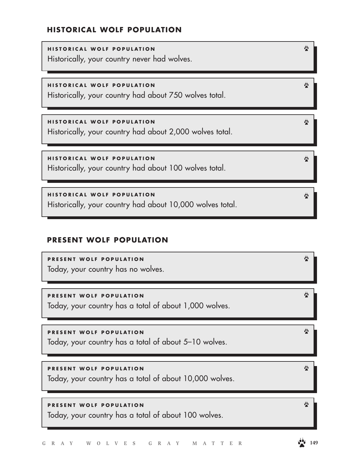#### **HISTORICAL WOLF POPULATION**

#### **HISTORICAL WOLF POPULATION**

Historically, your country never had wolves.

#### **HISTORICAL WOLF POPULATION**

Historically, your country had about 750 wolves total.

#### **HISTORICAL WOLF POPULATION**

Historically, your country had about 2,000 wolves total.

### **HISTORICAL WOLF POPULATION**

Historically, your country had about 100 wolves total.

#### **HISTORICAL WOLF POPULATION**

Historically, your country had about 10,000 wolves total.

#### **PRESENT WOLF POPULATION**

#### **PRESENT WOLF POPULATION**

Today, your country has no wolves.

#### **PRESENT WOLF POPULATION**

Today, your country has a total of about 1,000 wolves.

#### **PRESENT WOLF POPULATION**

Today, your country has a total of about 5–10 wolves.

#### **PRESENT WOLF POPULATION**

Today, your country has a total of about 10,000 wolves.

#### **PRESENT WOLF POPULATION**

Today, your country has a total of about 100 wolves.

 $\mathbf{a}^{\mathbf{a}}$ 

 $\mathbf{r}^{\mathbf{a}}_{\mathbf{a}^{\mathbf{b}}}$ 

 $\mathbf{r}^{(i)}_{\mathbf{a}}$ 

 $\mathbf{r}^{\prime\prime}$ 

 $\mathbf{a}$ 

 $\mathbf{a}^{\bullet\bullet}_{\mathbf{a}^{\bullet}}$ 

 $\mathbf{e}^{\mathbf{e}\,\mathbf{e}}_{\mathbf{a}\,\mathbf{e}}$ 

 $\mathbf{e}^{\mathbf{e}\cdot\mathbf{e}}_{\mathbf{e}\mathbf{e}}$ 

 $\mathbf{r}^{\prime\prime}$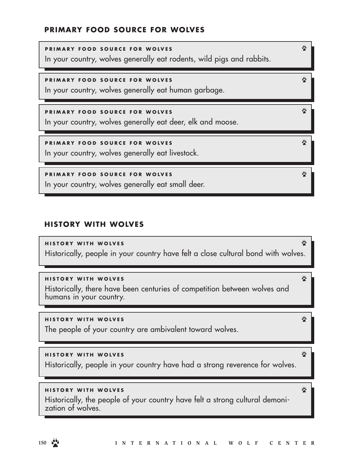#### **PRIMARY FOOD SOURCE FOR WOLVES**

#### **PR IMARY FOOD SOURCE FOR WOLVES**

In your country, wolves generally eat rodents, wild pigs and rabbits.

#### **PR IMARY FOOD SOURCE FOR WOLVES**

In your country, wolves generally eat human garbage.

#### **PRIMARY FOOD SOURCE FOR WOLVES**

In your country, wolves generally eat deer, elk and moose.

**PR IMARY FOOD SOURCE FOR WOLVES** In your country, wolves generally eat livestock.

#### **PR IMARY FOOD SOURCE FOR WOLVES**

In your country, wolves generally eat small deer.

#### **HISTORY WITH WOLVES**

**H ISTORY W ITH WOLVES** Historically, people in your country have felt a close cultural bond with wolves.

#### **H ISTORY W ITH WOLVES**

Historically, there have been centuries of competition between wolves and humans in your country.

#### **H ISTORY W ITH WOLVES**

The people of your country are ambivalent toward wolves.

#### **H ISTORY W ITH WOLVES**

Historically, people in your country have had a strong reverence for wolves.

#### **H ISTORY W ITH WOLVES**

Historically, the people of your country have felt a strong cultural demonization of wolves.

 $\mathbf{e}^{\mathbf{a}}_{\mathbf{a}^{\prime}}$ 

 $\mathbf{a}^{\bullet\bullet}_{\mathbf{a}^{\bullet}}$ 

 $\mathbf{a}$ 

 $\mathbf{e}^{\mathbf{e}}$ 

 $\mathbf{r}$ 

 $\mathbf{r}$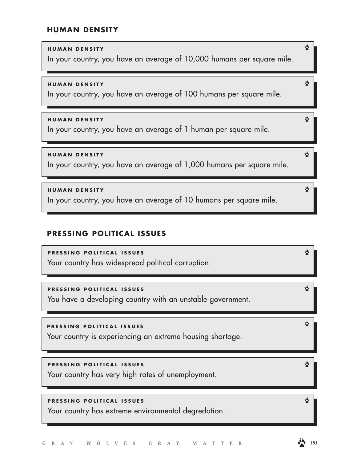#### **HUMAN DENSITY**

#### **HUMAN DENSITY**

In your country, you have an average of 10,000 humans per square mile.

#### **HUMAN DENSITY**

In your country, you have an average of 100 humans per square mile.

#### **HUMAN DENSITY**

In your country, you have an average of 1 human per square mile.

#### **HUMAN DENSITY**

In your country, you have an average of 1,000 humans per square mile.

#### **HUMAN DENSITY**

In your country, you have an average of 10 humans per square mile.

#### **PRESSING POLITICAL ISSUES**

| PRESSING POLITICAL ISSUES<br>Your country has widespread political corruption.          | $\mathbf{a}^{\bullet}$                   |
|-----------------------------------------------------------------------------------------|------------------------------------------|
| PRESSING POLITICAL ISSUES<br>You have a developing country with an unstable government. | $\mathbf{e}^{\mathbf{b}}$                |
| PRESSING POLITICAL ISSUES<br>Your country is experiencing an extreme housing shortage.  | $\mathbf{e}^{\mathbf{e}\cdot\mathbf{e}}$ |
| PRESSING POLITICAL ISSUES<br>Your country has very high rates of unemployment.          | $\mathbf{e}^{\mathbf{0}\, \mathbf{0}}$   |
| <b>PRESSING POLITICAL ISSUES</b>                                                        | $\ddot{\phantom{a}}$                     |

Your country has extreme environmental degredation.

 $\mathbf{z}$ 

 $\mathbf{r}^{\mathbf{a},\mathbf{b}}_{\mathbf{a}^{\mathbf{c}}}$ 

 $\mathbf{r}_{\mathbf{A}}^{(i)}$ 

 $\mathbf{r}^{(i)}_{\mathbf{A}^{(i)}}$ 

 $\mathbf{r}_{\mathbf{A}}^{(i)}$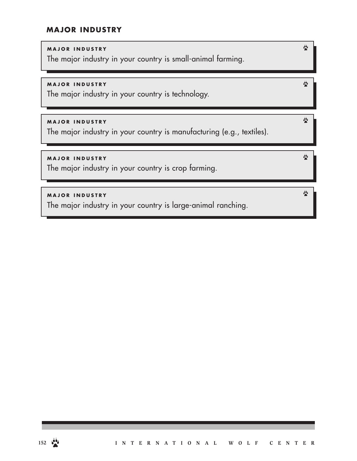#### **MAJOR INDUSTRY**

#### **MAJOR INDUSTRY**

The major industry in your country is small-animal farming.

#### **MAJOR INDUSTRY**

The major industry in your country is technology.

#### **MAJOR INDUSTRY**

The major industry in your country is manufacturing (e.g., textiles).

#### **MAJOR INDUSTRY**

The major industry in your country is crop farming.

#### **MAJOR INDUSTRY**

The major industry in your country is large-animal ranching.

 $\mathbf{a}^{\bullet\bullet}_{\mathbf{a}^{\bullet}}$ 

 $\mathbf{r}^{(i)}_{\mathbf{A}^{(i)}}$ 

 $\frac{\partial \tilde{\Phi}_{\tilde{\theta}}}{\partial \tilde{\Phi}_{\tilde{\theta}}}$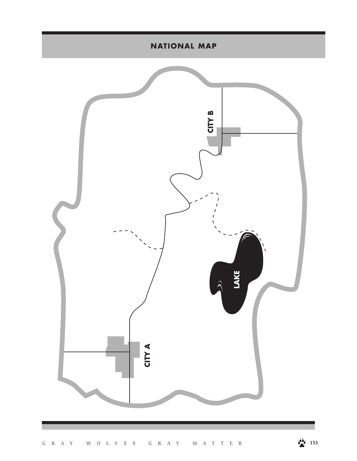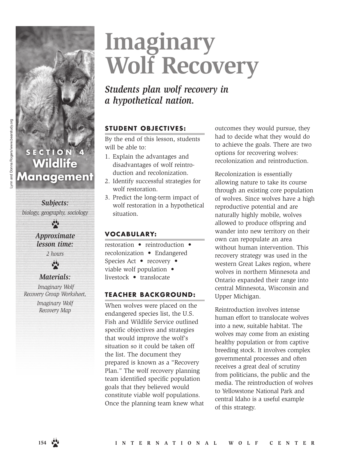## **Imaginary Wolf Recovery**

*Students plan wolf recovery in a hypothetical nation.*

#### **STUDENT OBJECTIVES:**

By the end of this lesson, students will be able to:

- 1. Explain the advantages and disadvantages of wolf reintroduction and recolonization.
- 2. Identify successful strategies for wolf restoration.
- 3. Predict the long-term impact of wolf restoration in a hypothetical situation.

#### **VOCABULARY:**

restoration • reintroduction • recolonization • Endangered Species Act • recovery • viable wolf population • livestock • translocate

#### **TEACHER BACKGROUND:**

When wolves were placed on the endangered species list, the U.S. Fish and Wildlife Service outlined specific objectives and strategies that would improve the wolf's situation so it could be taken off the list. The document they prepared is known as a "Recovery Plan." The wolf recovery planning team identified specific population goals that they believed would constitute viable wolf populations. Once the planning team knew what outcomes they would pursue, they had to decide what they would do to achieve the goals. There are two options for recovering wolves: recolonization and reintroduction.

Recolonization is essentially allowing nature to take its course through an existing core population of wolves. Since wolves have a high reproductive potential and are naturally highly mobile, wolves allowed to produce offspring and wander into new territory on their own can repopulate an area without human intervention. This recovery strategy was used in the western Great Lakes region, where wolves in northern Minnesota and Ontario expanded their range into central Minnesota, Wisconsin and Upper Michigan.

Reintroduction involves intense human effort to translocate wolves into a new, suitable habitat. The wolves may come from an existing healthy population or from captive breeding stock. It involves complex governmental processes and often receives a great deal of scrutiny from politicians, the public and the media. The reintroduction of wolves to Yellowstone National Park and central Idaho is a useful example of this strategy.

**SECTION 4 Wildlife Management**

#### *Subjects:*

*biology, geography, sociology*

*Approximate lesson time:* 

> *2 hours*  $\frac{\partial}{\partial x}$

#### *Materials:*

 *Imaginary Wolf Recovery Group Worksheet,* 

> *Imaginary Wolf Recovery Map*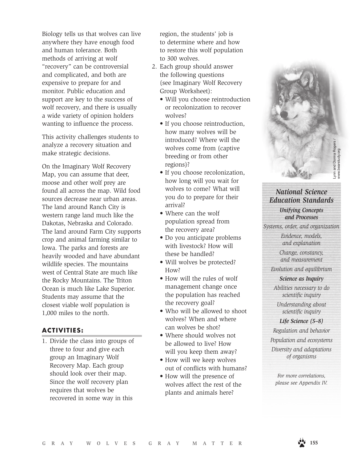Biology tells us that wolves can live anywhere they have enough food and human tolerance. Both methods of arriving at wolf "recovery" can be controversial and complicated, and both are expensive to prepare for and monitor. Public education and support are key to the success of wolf recovery, and there is usually a wide variety of opinion holders wanting to influence the process.

This activity challenges students to analyze a recovery situation and make strategic decisions.

On the Imaginary Wolf Recovery Map, you can assume that deer, moose and other wolf prey are found all across the map. Wild food sources decrease near urban areas. The land around Ranch City is western range land much like the Dakotas, Nebraska and Colorado. The land around Farm City supports crop and animal farming similar to Iowa. The parks and forests are heavily wooded and have abundant wildlife species. The mountains west of Central State are much like the Rocky Mountains. The Triton Ocean is much like Lake Superior. Students may assume that the closest viable wolf population is 1,000 miles to the north.

#### **ACTIVITIES:**

1. Divide the class into groups of three to four and give each group an Imaginary Wolf Recovery Map. Each group should look over their map. Since the wolf recovery plan requires that wolves be recovered in some way in this

region, the students' job is to determine where and how to restore this wolf population to 300 wolves.

- 2. Each group should answer the following questions (see Imaginary Wolf Recovery Group Worksheet):
	- Will you choose reintroduction or recolonization to recover wolves?
	- If you choose reintroduction, how many wolves will be introduced? Where will the wolves come from (captive breeding or from other regions)?
	- If you choose recolonization, how long will you wait for wolves to come? What will you do to prepare for their arrival?
	- Where can the wolf population spread from the recovery area?
	- Do you anticipate problems with livestock? How will these be handled?
	- Will wolves be protected? How?
	- How will the rules of wolf management change once the population has reached the recovery goal?
	- Who will be allowed to shoot wolves? When and where can wolves be shot?
	- Where should wolves not be allowed to live? How will you keep them away?
	- How will we keep wolves out of conflicts with humans?
	- How will the presence of wolves affect the rest of the plants and animals here?

#### *National Science Education Standards*

*Unifying Concepts and Processes*

*Systems, order, and organization*

*Evidence, models, and explanation*

*Change, constancy, and measurement*

*Evolution and equilibrium*

#### *Science as Inquiry*

*Abilities necessary to do scientific inquiry*

*Understanding about scientific inquiry*

#### *Life Science (5–8)*

*Regulation and behavior Population and ecosystems Diversity and adaptations of organisms*

*For more correlations, please see Appendix IV.*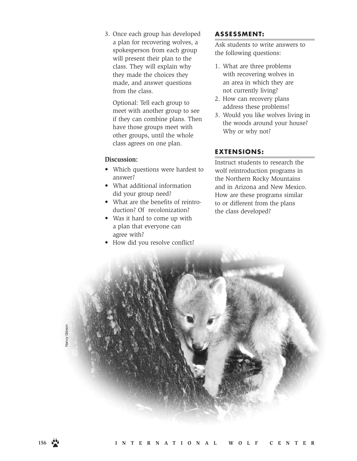3. Once each group has developed a plan for recovering wolves, a spokesperson from each group will present their plan to the class. They will explain why they made the choices they made, and answer questions from the class.

Optional: Tell each group to meet with another group to see if they can combine plans. Then have those groups meet with other groups, until the whole class agrees on one plan.

#### **Discussion:**

- Which questions were hardest to answer?
- What additional information did your group need?
- What are the benefits of reintroduction? Of recolonization?
- Was it hard to come up with a plan that everyone can agree with?
- How did you resolve conflict?

#### **ASSESSMENT:**

Ask students to write answers to the following questions:

- 1. What are three problems with recovering wolves in an area in which they are not currently living?
- 2. How can recovery plans address these problems?
- 3. Would you like wolves living in the woods around your house? Why or why not?

#### **EXTENSIONS:**

Instruct students to research the wolf reintroduction programs in the Northern Rocky Mountains and in Arizona and New Mexico. How are these programs similar to or different from the plans the class developed?

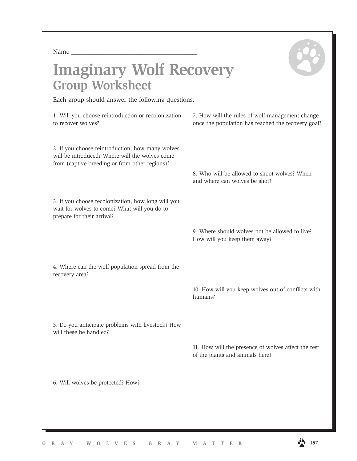Name

## **Imaginary Wolf Recovery Group Worksheet**

Each group should answer the following questions:

1. Will you choose reintroduction or recolonization to recover wolves? 2. If you choose reintroduction, how many wolves will be introduced? Where will the wolves come from (captive breeding or from other regions)? 3. If you choose recolonization, how long will you wait for wolves to come? What will you do to prepare for their arrival? 4. Where can the wolf population spread from the recovery area? 5. Do you anticipate problems with livestock? How will these be handled? 6. Will wolves be protected? How? 7. How will the rules of wolf management change once the population has reached the recovery goal? 8. Who will be allowed to shoot wolves? When and where can wolves be shot? 9. Where should wolves not be allowed to live? How will you keep them away? 10. How will you keep wolves out of conflicts with humans? 11. How will the presence of wolves affect the rest of the plants and animals here?